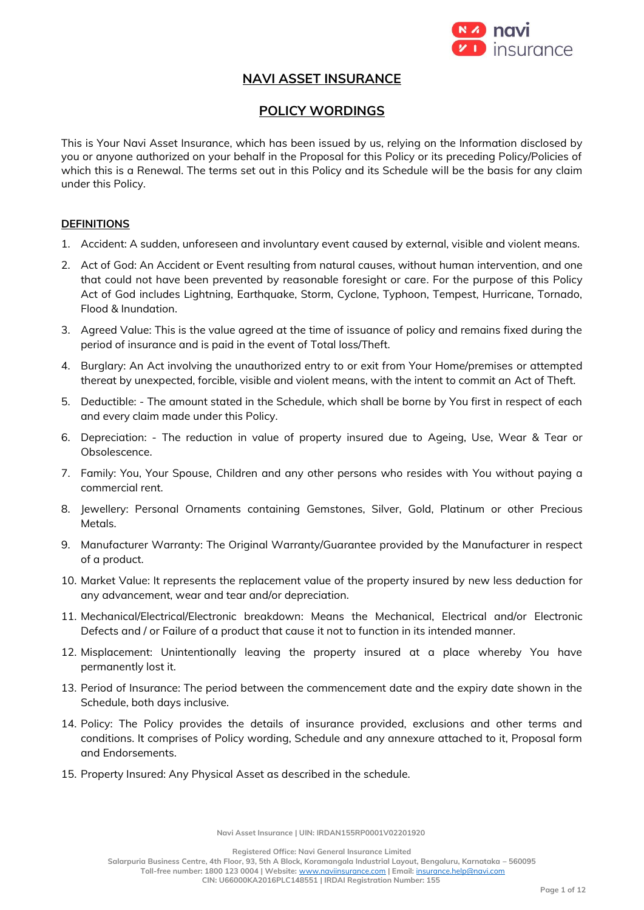

# **NAVI ASSET INSURANCE**

# **POLICY WORDINGS**

This is Your Navi Asset Insurance, which has been issued by us, relying on the Information disclosed by you or anyone authorized on your behalf in the Proposal for this Policy or its preceding Policy/Policies of which this is a Renewal. The terms set out in this Policy and its Schedule will be the basis for any claim under this Policy.

#### **DEFINITIONS**

- 1. Accident: A sudden, unforeseen and involuntary event caused by external, visible and violent means.
- 2. Act of God: An Accident or Event resulting from natural causes, without human intervention, and one that could not have been prevented by reasonable foresight or care. For the purpose of this Policy Act of God includes Lightning, Earthquake, Storm, Cyclone, Typhoon, Tempest, Hurricane, Tornado, Flood & Inundation.
- 3. Agreed Value: This is the value agreed at the time of issuance of policy and remains fixed during the period of insurance and is paid in the event of Total loss/Theft.
- 4. Burglary: An Act involving the unauthorized entry to or exit from Your Home/premises or attempted thereat by unexpected, forcible, visible and violent means, with the intent to commit an Act of Theft.
- 5. Deductible: The amount stated in the Schedule, which shall be borne by You first in respect of each and every claim made under this Policy.
- 6. Depreciation: The reduction in value of property insured due to Ageing, Use, Wear & Tear or Obsolescence.
- 7. Family: You, Your Spouse, Children and any other persons who resides with You without paying a commercial rent.
- 8. Jewellery: Personal Ornaments containing Gemstones, Silver, Gold, Platinum or other Precious Metals.
- 9. Manufacturer Warranty: The Original Warranty/Guarantee provided by the Manufacturer in respect of a product.
- 10. Market Value: It represents the replacement value of the property insured by new less deduction for any advancement, wear and tear and/or depreciation.
- 11. Mechanical/Electrical/Electronic breakdown: Means the Mechanical, Electrical and/or Electronic Defects and / or Failure of a product that cause it not to function in its intended manner.
- 12. Misplacement: Unintentionally leaving the property insured at a place whereby You have permanently lost it.
- 13. Period of Insurance: The period between the commencement date and the expiry date shown in the Schedule, both days inclusive.
- 14. Policy: The Policy provides the details of insurance provided, exclusions and other terms and conditions. It comprises of Policy wording, Schedule and any annexure attached to it, Proposal form and Endorsements.
- 15. Property Insured: Any Physical Asset as described in the schedule.

**Navi Asset Insurance | UIN: IRDAN155RP0001V02201920**

**Registered Office: Navi General Insurance Limited**

**Salarpuria Business Centre, 4th Floor, 93, 5th A Block, Koramangala Industrial Layout, Bengaluru, Karnataka – 560095**

**Toll-free number: 1800 123 0004 | Website:** [www.naviinsurance.com](http://www.naviinsurance.com/) **| Email:** [insurance.help@navi.com](mailto:insurance.help@navi.com) **CIN: U66000KA2016PLC148551 | IRDAI Registration Number: 155**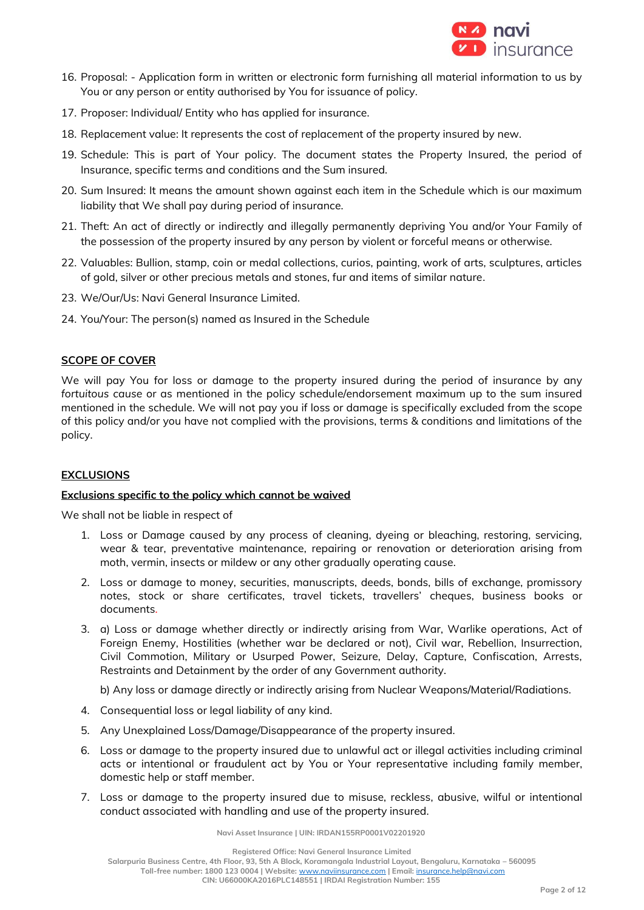

- 16. Proposal: Application form in written or electronic form furnishing all material information to us by You or any person or entity authorised by You for issuance of policy.
- 17. Proposer: Individual/ Entity who has applied for insurance.
- 18. Replacement value: It represents the cost of replacement of the property insured by new.
- 19. Schedule: This is part of Your policy. The document states the Property Insured, the period of Insurance, specific terms and conditions and the Sum insured.
- 20. Sum Insured: It means the amount shown against each item in the Schedule which is our maximum liability that We shall pay during period of insurance.
- 21. Theft: An act of directly or indirectly and illegally permanently depriving You and/or Your Family of the possession of the property insured by any person by violent or forceful means or otherwise.
- 22. Valuables: Bullion, stamp, coin or medal collections, curios, painting, work of arts, sculptures, articles of gold, silver or other precious metals and stones, fur and items of similar nature.
- 23. We/Our/Us: Navi General Insurance Limited.
- 24. You/Your: The person(s) named as Insured in the Schedule

# **SCOPE OF COVER**

We will pay You for loss or damage to the property insured during the period of insurance by any *fortuitous cause* or as mentioned in the policy schedule/endorsement maximum up to the sum insured mentioned in the schedule. We will not pay you if loss or damage is specifically excluded from the scope of this policy and/or you have not complied with the provisions, terms & conditions and limitations of the policy.

### **EXCLUSIONS**

### **Exclusions specific to the policy which cannot be waived**

We shall not be liable in respect of

- 1. Loss or Damage caused by any process of cleaning, dyeing or bleaching, restoring, servicing, wear & tear, preventative maintenance, repairing or renovation or deterioration arising from moth, vermin, insects or mildew or any other gradually operating cause.
- 2. Loss or damage to money, securities, manuscripts, deeds, bonds, bills of exchange, promissory notes, stock or share certificates, travel tickets, travellers' cheques, business books or documents.
- 3. a) Loss or damage whether directly or indirectly arising from War, Warlike operations, Act of Foreign Enemy, Hostilities (whether war be declared or not), Civil war, Rebellion, Insurrection, Civil Commotion, Military or Usurped Power, Seizure, Delay, Capture, Confiscation, Arrests, Restraints and Detainment by the order of any Government authority.

b) Any loss or damage directly or indirectly arising from Nuclear Weapons/Material/Radiations.

- 4. Consequential loss or legal liability of any kind.
- 5. Any Unexplained Loss/Damage/Disappearance of the property insured.
- 6. Loss or damage to the property insured due to unlawful act or illegal activities including criminal acts or intentional or fraudulent act by You or Your representative including family member, domestic help or staff member.
- 7. Loss or damage to the property insured due to misuse, reckless, abusive, wilful or intentional conduct associated with handling and use of the property insured.

**Navi Asset Insurance | UIN: IRDAN155RP0001V02201920**

**Registered Office: Navi General Insurance Limited Salarpuria Business Centre, 4th Floor, 93, 5th A Block, Koramangala Industrial Layout, Bengaluru, Karnataka – 560095 Toll-free number: 1800 123 0004 | Website:** [www.naviinsurance.com](http://www.naviinsurance.com/) **| Email:** [insurance.help@navi.com](mailto:insurance.help@navi.com) **CIN: U66000KA2016PLC148551 | IRDAI Registration Number: 155**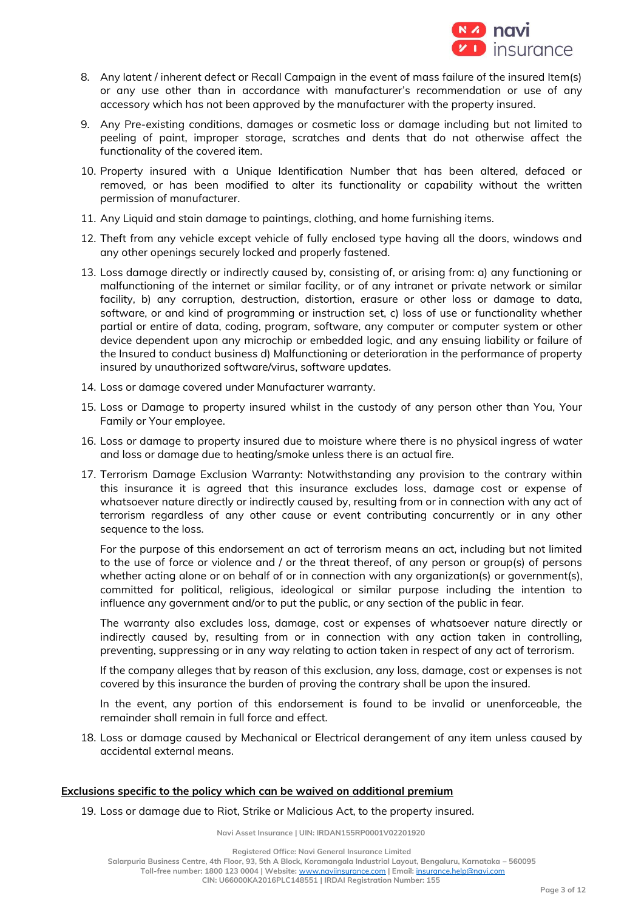

- 8. Any latent / inherent defect or Recall Campaign in the event of mass failure of the insured Item(s) or any use other than in accordance with manufacturer's recommendation or use of any accessory which has not been approved by the manufacturer with the property insured.
- 9. Any Pre-existing conditions, damages or cosmetic loss or damage including but not limited to peeling of paint, improper storage, scratches and dents that do not otherwise affect the functionality of the covered item.
- 10. Property insured with a Unique Identification Number that has been altered, defaced or removed, or has been modified to alter its functionality or capability without the written permission of manufacturer.
- 11. Any Liquid and stain damage to paintings, clothing, and home furnishing items.
- 12. Theft from any vehicle except vehicle of fully enclosed type having all the doors, windows and any other openings securely locked and properly fastened.
- 13. Loss damage directly or indirectly caused by, consisting of, or arising from: a) any functioning or malfunctioning of the internet or similar facility, or of any intranet or private network or similar facility, b) any corruption, destruction, distortion, erasure or other loss or damage to data, software, or and kind of programming or instruction set, c) loss of use or functionality whether partial or entire of data, coding, program, software, any computer or computer system or other device dependent upon any microchip or embedded logic, and any ensuing liability or failure of the Insured to conduct business d) Malfunctioning or deterioration in the performance of property insured by unauthorized software/virus, software updates.
- 14. Loss or damage covered under Manufacturer warranty.
- 15. Loss or Damage to property insured whilst in the custody of any person other than You, Your Family or Your employee.
- 16. Loss or damage to property insured due to moisture where there is no physical ingress of water and loss or damage due to heating/smoke unless there is an actual fire.
- 17. Terrorism Damage Exclusion Warranty: Notwithstanding any provision to the contrary within this insurance it is agreed that this insurance excludes loss, damage cost or expense of whatsoever nature directly or indirectly caused by, resulting from or in connection with any act of terrorism regardless of any other cause or event contributing concurrently or in any other sequence to the loss.

For the purpose of this endorsement an act of terrorism means an act, including but not limited to the use of force or violence and / or the threat thereof, of any person or group(s) of persons whether acting alone or on behalf of or in connection with any organization(s) or government(s), committed for political, religious, ideological or similar purpose including the intention to influence any government and/or to put the public, or any section of the public in fear.

The warranty also excludes loss, damage, cost or expenses of whatsoever nature directly or indirectly caused by, resulting from or in connection with any action taken in controlling, preventing, suppressing or in any way relating to action taken in respect of any act of terrorism.

If the company alleges that by reason of this exclusion, any loss, damage, cost or expenses is not covered by this insurance the burden of proving the contrary shall be upon the insured.

In the event, any portion of this endorsement is found to be invalid or unenforceable, the remainder shall remain in full force and effect.

18. Loss or damage caused by Mechanical or Electrical derangement of any item unless caused by accidental external means.

### **Exclusions specific to the policy which can be waived on additional premium**

19. Loss or damage due to Riot, Strike or Malicious Act, to the property insured.

**Navi Asset Insurance | UIN: IRDAN155RP0001V02201920**

**Registered Office: Navi General Insurance Limited Salarpuria Business Centre, 4th Floor, 93, 5th A Block, Koramangala Industrial Layout, Bengaluru, Karnataka – 560095 Toll-free number: 1800 123 0004 | Website:** [www.naviinsurance.com](http://www.naviinsurance.com/) **| Email:** [insurance.help@navi.com](mailto:insurance.help@navi.com) **CIN: U66000KA2016PLC148551 | IRDAI Registration Number: 155**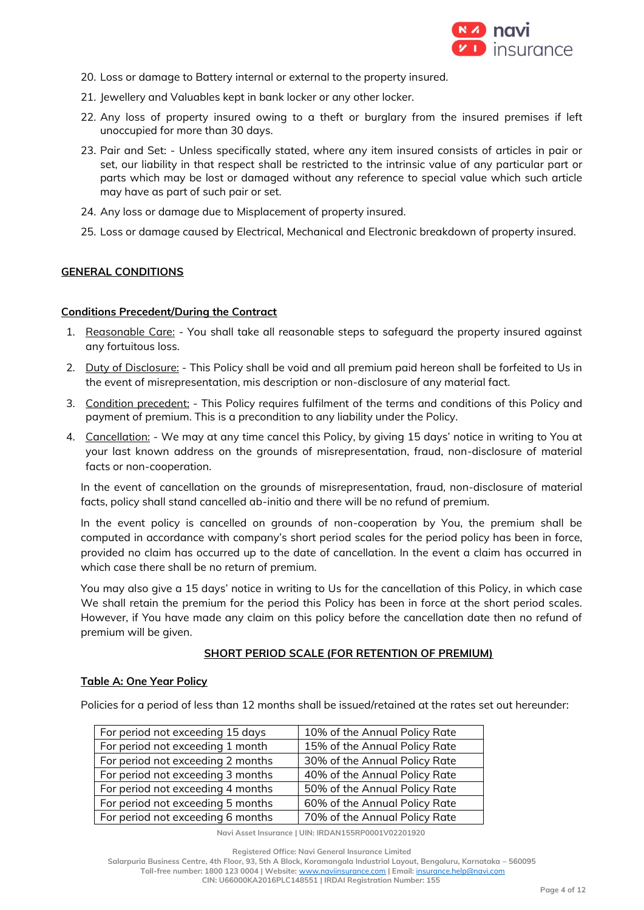

- 20. Loss or damage to Battery internal or external to the property insured.
- 21. Jewellery and Valuables kept in bank locker or any other locker.
- 22. Any loss of property insured owing to a theft or burglary from the insured premises if left unoccupied for more than 30 days.
- 23. Pair and Set: Unless specifically stated, where any item insured consists of articles in pair or set, our liability in that respect shall be restricted to the intrinsic value of any particular part or parts which may be lost or damaged without any reference to special value which such article may have as part of such pair or set.
- 24. Any loss or damage due to Misplacement of property insured.
- 25. Loss or damage caused by Electrical, Mechanical and Electronic breakdown of property insured.

#### **GENERAL CONDITIONS**

#### **Conditions Precedent/During the Contract**

- 1. Reasonable Care: You shall take all reasonable steps to safequard the property insured against any fortuitous loss.
- 2. Duty of Disclosure: This Policy shall be void and all premium paid hereon shall be forfeited to Us in the event of misrepresentation, mis description or non-disclosure of any material fact.
- 3. Condition precedent: This Policy requires fulfilment of the terms and conditions of this Policy and payment of premium. This is a precondition to any liability under the Policy.
- 4. Cancellation: We may at any time cancel this Policy, by giving 15 days' notice in writing to You at your last known address on the grounds of misrepresentation, fraud, non-disclosure of material facts or non-cooperation.

In the event of cancellation on the grounds of misrepresentation, fraud, non-disclosure of material facts, policy shall stand cancelled ab-initio and there will be no refund of premium.

In the event policy is cancelled on grounds of non-cooperation by You, the premium shall be computed in accordance with company's short period scales for the period policy has been in force, provided no claim has occurred up to the date of cancellation. In the event a claim has occurred in which case there shall be no return of premium.

You may also give a 15 days' notice in writing to Us for the cancellation of this Policy, in which case We shall retain the premium for the period this Policy has been in force at the short period scales. However, if You have made any claim on this policy before the cancellation date then no refund of premium will be given.

#### **SHORT PERIOD SCALE (FOR RETENTION OF PREMIUM)**

#### **Table A: One Year Policy**

Policies for a period of less than 12 months shall be issued/retained at the rates set out hereunder:

| For period not exceeding 15 days  | 10% of the Annual Policy Rate |
|-----------------------------------|-------------------------------|
| For period not exceeding 1 month  | 15% of the Annual Policy Rate |
| For period not exceeding 2 months | 30% of the Annual Policy Rate |
| For period not exceeding 3 months | 40% of the Annual Policy Rate |
| For period not exceeding 4 months | 50% of the Annual Policy Rate |
| For period not exceeding 5 months | 60% of the Annual Policy Rate |
| For period not exceeding 6 months | 70% of the Annual Policy Rate |

**Navi Asset Insurance | UIN: IRDAN155RP0001V02201920**

**Registered Office: Navi General Insurance Limited Salarpuria Business Centre, 4th Floor, 93, 5th A Block, Koramangala Industrial Layout, Bengaluru, Karnataka – 560095 Toll-free number: 1800 123 0004 | Website:** [www.naviinsurance.com](http://www.naviinsurance.com/) **| Email:** [insurance.help@navi.com](mailto:insurance.help@navi.com) **CIN: U66000KA2016PLC148551 | IRDAI Registration Number: 155**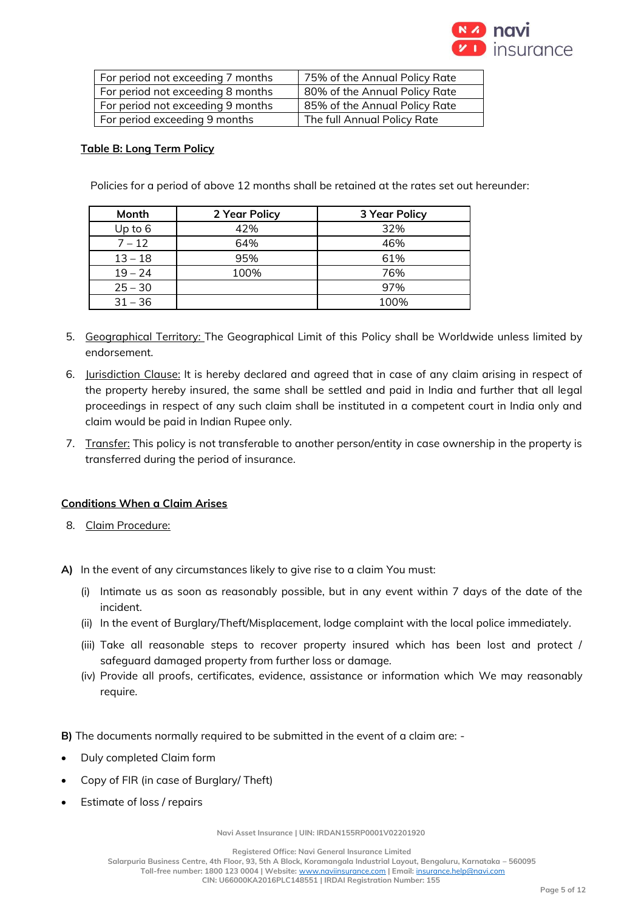

| For period not exceeding 7 months | 75% of the Annual Policy Rate |
|-----------------------------------|-------------------------------|
| For period not exceeding 8 months | 80% of the Annual Policy Rate |
| For period not exceeding 9 months | 85% of the Annual Policy Rate |
| For period exceeding 9 months     | The full Annual Policy Rate   |

## **Table B: Long Term Policy**

Policies for a period of above 12 months shall be retained at the rates set out hereunder:

| Month     | 2 Year Policy | 3 Year Policy |
|-----------|---------------|---------------|
| Up to 6   | 42%           | 32%           |
| $7 - 12$  | 64%           | 46%           |
| $13 - 18$ | 95%           | 61%           |
| $19 - 24$ | 100%          | 76%           |
| $25 - 30$ |               | 97%           |
| $31 - 36$ |               | 100%          |

- 5. Geographical Territory: The Geographical Limit of this Policy shall be Worldwide unless limited by endorsement.
- 6. Jurisdiction Clause: It is hereby declared and agreed that in case of any claim arising in respect of the property hereby insured, the same shall be settled and paid in India and further that all legal proceedings in respect of any such claim shall be instituted in a competent court in India only and claim would be paid in Indian Rupee only.
- 7. Transfer: This policy is not transferable to another person/entity in case ownership in the property is transferred during the period of insurance.

### **Conditions When a Claim Arises**

- 8. Claim Procedure:
- **A)** In the event of any circumstances likely to give rise to a claim You must:
	- (i) Intimate us as soon as reasonably possible, but in any event within 7 days of the date of the incident.
	- (ii) In the event of Burglary/Theft/Misplacement, lodge complaint with the local police immediately.
	- (iii) Take all reasonable steps to recover property insured which has been lost and protect / safeguard damaged property from further loss or damage.
	- (iv) Provide all proofs, certificates, evidence, assistance or information which We may reasonably require.
- **B)** The documents normally required to be submitted in the event of a claim are: -
- Duly completed Claim form
- Copy of FIR (in case of Burglary/ Theft)
- Estimate of loss / repairs

**Navi Asset Insurance | UIN: IRDAN155RP0001V02201920**

**Registered Office: Navi General Insurance Limited**

**Salarpuria Business Centre, 4th Floor, 93, 5th A Block, Koramangala Industrial Layout, Bengaluru, Karnataka – 560095**

**Toll-free number: 1800 123 0004 | Website:** [www.naviinsurance.com](http://www.naviinsurance.com/) **| Email:** [insurance.help@navi.com](mailto:insurance.help@navi.com) **CIN: U66000KA2016PLC148551 | IRDAI Registration Number: 155**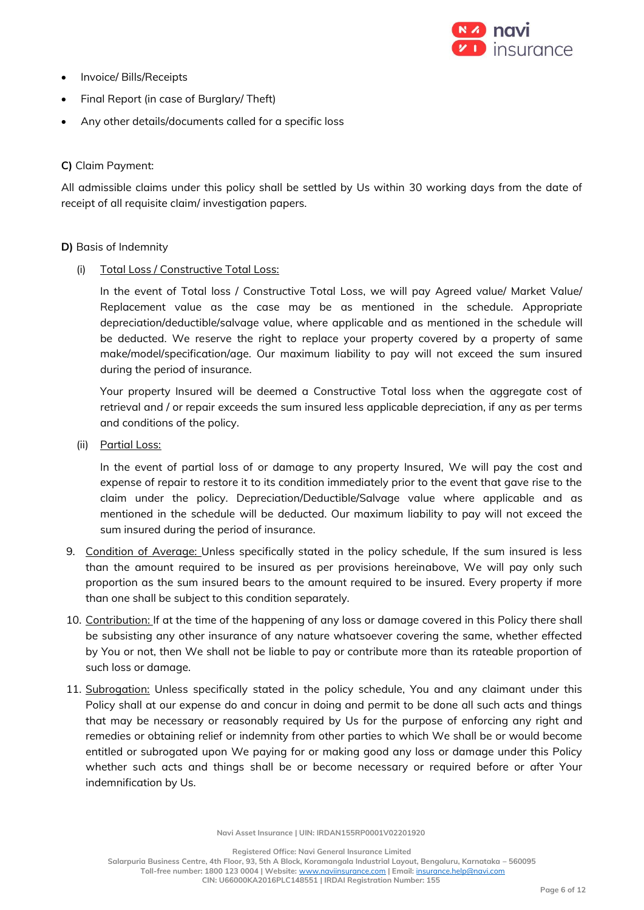

- Invoice/ Bills/Receipts
- Final Report (in case of Burglary/ Theft)
- Any other details/documents called for a specific loss

## **C)** Claim Payment:

All admissible claims under this policy shall be settled by Us within 30 working days from the date of receipt of all requisite claim/ investigation papers.

#### **D)** Basis of Indemnity

#### (i) Total Loss / Constructive Total Loss:

In the event of Total loss / Constructive Total Loss, we will pay Agreed value/ Market Value/ Replacement value as the case may be as mentioned in the schedule. Appropriate depreciation/deductible/salvage value, where applicable and as mentioned in the schedule will be deducted. We reserve the right to replace your property covered by a property of same make/model/specification/age. Our maximum liability to pay will not exceed the sum insured during the period of insurance.

Your property Insured will be deemed a Constructive Total loss when the aggregate cost of retrieval and / or repair exceeds the sum insured less applicable depreciation, if any as per terms and conditions of the policy.

(ii) Partial Loss:

In the event of partial loss of or damage to any property Insured, We will pay the cost and expense of repair to restore it to its condition immediately prior to the event that gave rise to the claim under the policy. Depreciation/Deductible/Salvage value where applicable and as mentioned in the schedule will be deducted. Our maximum liability to pay will not exceed the sum insured during the period of insurance.

- 9. Condition of Average: Unless specifically stated in the policy schedule, If the sum insured is less than the amount required to be insured as per provisions hereinabove, We will pay only such proportion as the sum insured bears to the amount required to be insured. Every property if more than one shall be subject to this condition separately.
- 10. Contribution: If at the time of the happening of any loss or damage covered in this Policy there shall be subsisting any other insurance of any nature whatsoever covering the same, whether effected by You or not, then We shall not be liable to pay or contribute more than its rateable proportion of such loss or damage.
- 11. Subrogation: Unless specifically stated in the policy schedule, You and any claimant under this Policy shall at our expense do and concur in doing and permit to be done all such acts and things that may be necessary or reasonably required by Us for the purpose of enforcing any right and remedies or obtaining relief or indemnity from other parties to which We shall be or would become entitled or subrogated upon We paying for or making good any loss or damage under this Policy whether such acts and things shall be or become necessary or required before or after Your indemnification by Us.

**Navi Asset Insurance | UIN: IRDAN155RP0001V02201920**

**Registered Office: Navi General Insurance Limited**

**Salarpuria Business Centre, 4th Floor, 93, 5th A Block, Koramangala Industrial Layout, Bengaluru, Karnataka – 560095 Toll-free number: 1800 123 0004 | Website:** [www.naviinsurance.com](http://www.naviinsurance.com/) **| Email:** [insurance.help@navi.com](mailto:insurance.help@navi.com) **CIN: U66000KA2016PLC148551 | IRDAI Registration Number: 155**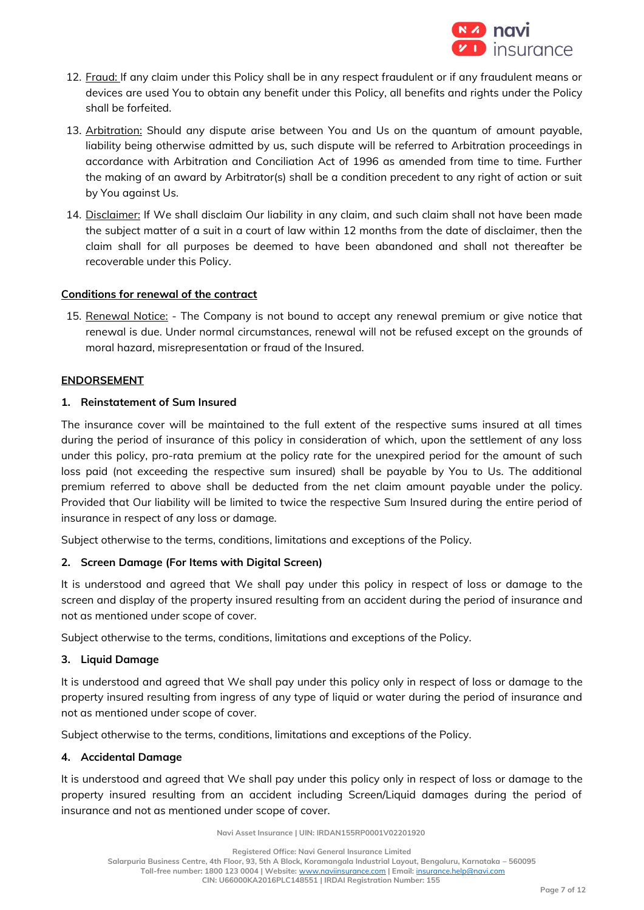

- 12. Fraud: If any claim under this Policy shall be in any respect fraudulent or if any fraudulent means or devices are used You to obtain any benefit under this Policy, all benefits and rights under the Policy shall be forfeited.
- 13. Arbitration: Should any dispute arise between You and Us on the quantum of amount payable, liability being otherwise admitted by us, such dispute will be referred to Arbitration proceedings in accordance with Arbitration and Conciliation Act of 1996 as amended from time to time. Further the making of an award by Arbitrator(s) shall be a condition precedent to any right of action or suit by You against Us.
- 14. Disclaimer: If We shall disclaim Our liability in any claim, and such claim shall not have been made the subject matter of a suit in a court of law within 12 months from the date of disclaimer, then the claim shall for all purposes be deemed to have been abandoned and shall not thereafter be recoverable under this Policy.

### **Conditions for renewal of the contract**

15. Renewal Notice: - The Company is not bound to accept any renewal premium or give notice that renewal is due. Under normal circumstances, renewal will not be refused except on the grounds of moral hazard, misrepresentation or fraud of the Insured.

#### **ENDORSEMENT**

### **1. Reinstatement of Sum Insured**

The insurance cover will be maintained to the full extent of the respective sums insured at all times during the period of insurance of this policy in consideration of which, upon the settlement of any loss under this policy, pro-rata premium at the policy rate for the unexpired period for the amount of such loss paid (not exceeding the respective sum insured) shall be payable by You to Us. The additional premium referred to above shall be deducted from the net claim amount payable under the policy. Provided that Our liability will be limited to twice the respective Sum Insured during the entire period of insurance in respect of any loss or damage.

Subject otherwise to the terms, conditions, limitations and exceptions of the Policy.

### **2. Screen Damage (For Items with Digital Screen)**

It is understood and agreed that We shall pay under this policy in respect of loss or damage to the screen and display of the property insured resulting from an accident during the period of insurance and not as mentioned under scope of cover.

Subject otherwise to the terms, conditions, limitations and exceptions of the Policy.

## **3. Liquid Damage**

It is understood and agreed that We shall pay under this policy only in respect of loss or damage to the property insured resulting from ingress of any type of liquid or water during the period of insurance and not as mentioned under scope of cover.

Subject otherwise to the terms, conditions, limitations and exceptions of the Policy.

#### **4. Accidental Damage**

It is understood and agreed that We shall pay under this policy only in respect of loss or damage to the property insured resulting from an accident including Screen/Liquid damages during the period of insurance and not as mentioned under scope of cover.

**Navi Asset Insurance | UIN: IRDAN155RP0001V02201920**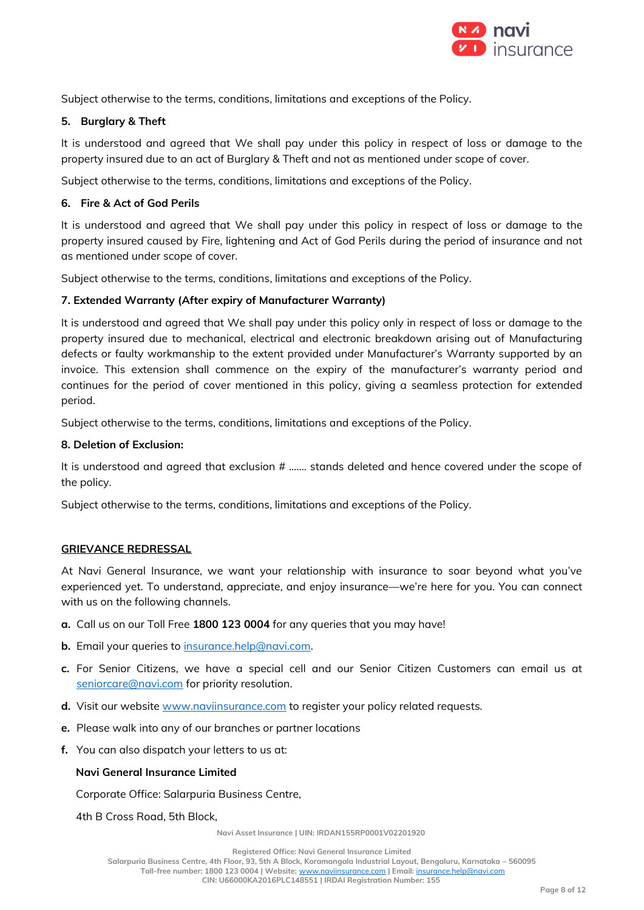

Subject otherwise to the terms, conditions, limitations and exceptions of the Policy.

# **5. Burglary & Theft**

It is understood and agreed that We shall pay under this policy in respect of loss or damage to the property insured due to an act of Burglary & Theft and not as mentioned under scope of cover.

Subject otherwise to the terms, conditions, limitations and exceptions of the Policy.

# **6. Fire & Act of God Perils**

It is understood and agreed that We shall pay under this policy in respect of loss or damage to the property insured caused by Fire, lightening and Act of God Perils during the period of insurance and not as mentioned under scope of cover.

Subject otherwise to the terms, conditions, limitations and exceptions of the Policy.

# **7. Extended Warranty (After expiry of Manufacturer Warranty)**

It is understood and agreed that We shall pay under this policy only in respect of loss or damage to the property insured due to mechanical, electrical and electronic breakdown arising out of Manufacturing defects or faulty workmanship to the extent provided under Manufacturer's Warranty supported by an invoice. This extension shall commence on the expiry of the manufacturer's warranty period and continues for the period of cover mentioned in this policy, giving a seamless protection for extended period.

Subject otherwise to the terms, conditions, limitations and exceptions of the Policy.

# **8. Deletion of Exclusion:**

It is understood and agreed that exclusion # ……. stands deleted and hence covered under the scope of the policy.

Subject otherwise to the terms, conditions, limitations and exceptions of the Policy.

### **GRIEVANCE REDRESSAL**

At Navi General Insurance, we want your relationship with insurance to soar beyond what you've experienced yet. To understand, appreciate, and enjoy insurance—we're here for you. You can connect with us on the following channels.

- **a.** Call us on our Toll Free **1800 123 0004** for any queries that you may have!
- **b.** Email your queries to [insurance.help@navi.com.](mailto:insurance.help@navi.com)
- **c.** For Senior Citizens, we have a special cell and our Senior Citizen Customers can email us at [seniorcare@navi.com](mailto:seniorcare@navi.com) for priority resolution.
- **d.** Visit our website [www.naviinsurance.com](http://www.naviinsurance.com/) to register your policy related requests.
- **e.** Please walk into any of our branches or partner locations
- **f.** You can also dispatch your letters to us at:

### **Navi General Insurance Limited**

Corporate Office: Salarpuria Business Centre,

4th B Cross Road, 5th Block,

**Navi Asset Insurance | UIN: IRDAN155RP0001V02201920**

**Registered Office: Navi General Insurance Limited**

**Salarpuria Business Centre, 4th Floor, 93, 5th A Block, Koramangala Industrial Layout, Bengaluru, Karnataka – 560095**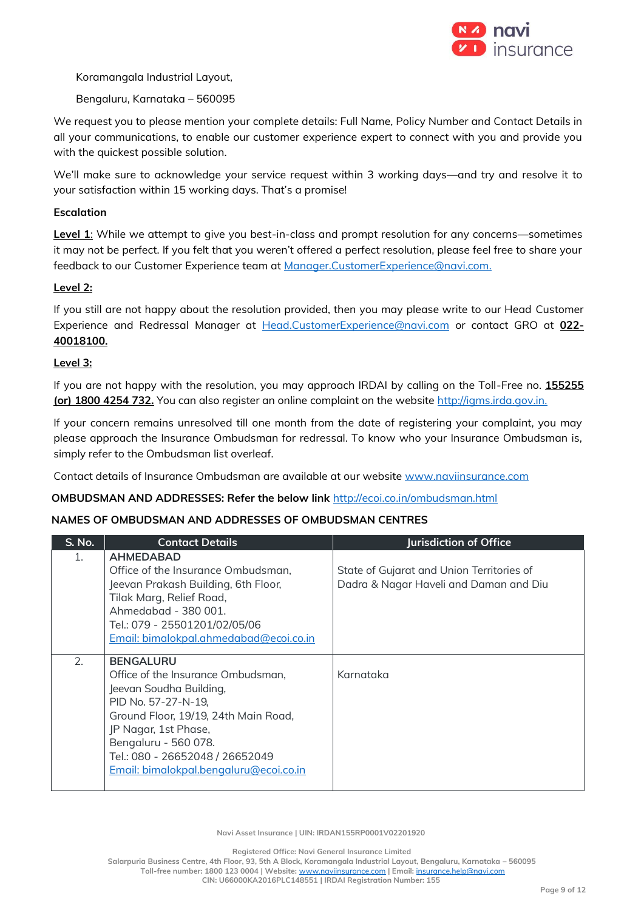

Koramangala Industrial Layout,

Bengaluru, Karnataka – 560095

We request you to please mention your complete details: Full Name, Policy Number and Contact Details in all your communications, to enable our customer experience expert to connect with you and provide you with the quickest possible solution.

We'll make sure to acknowledge your service request within 3 working days—and try and resolve it to your satisfaction within 15 working days. That's a promise!

## **Escalation**

**Level 1**: While we attempt to give you best-in-class and prompt resolution for any concerns—sometimes it may not be perfect. If you felt that you weren't offered a perfect resolution, please feel free to share your feedback to our Customer Experience team at [Manager.CustomerExperience@navi.com.](mailto:Manager.CustomerExperience@navi.com)

### **Level 2:**

If you still are not happy about the resolution provided, then you may please write to our Head Customer Experience and Redressal Manager at [Head.CustomerExperience@navi.com](mailto:Head.CustomerExperience@navi.com) or contact GRO at **022- 40018100.**

### **Level 3:**

If you are not happy with the resolution, you may approach IRDAI by calling on the Toll-Free no. **155255 (or) 1800 4254 732.** You can also register an online complaint on the website [http://igms.irda.gov.in.](http://igms.irda.gov.in/)

If your concern remains unresolved till one month from the date of registering your complaint, you may please approach the Insurance Ombudsman for redressal. To know who your Insurance Ombudsman is, simply refer to the Ombudsman list overleaf.

Contact details of Insurance Ombudsman are available at our website [www.naviinsurance.com](http://www.naviinsurance.com/)

#### **OMBUDSMAN AND ADDRESSES: Refer the below link** <http://ecoi.co.in/ombudsman.html>

### **NAMES OF OMBUDSMAN AND ADDRESSES OF OMBUDSMAN CENTRES**

| <b>S. No.</b> | <b>Contact Details</b>                                                                                                                                                                                                                                                        | Jurisdiction of Office                                                              |
|---------------|-------------------------------------------------------------------------------------------------------------------------------------------------------------------------------------------------------------------------------------------------------------------------------|-------------------------------------------------------------------------------------|
| 1.            | <b>AHMEDABAD</b><br>Office of the Insurance Ombudsman,<br>Jeevan Prakash Building, 6th Floor,<br>Tilak Marg, Relief Road,<br>Ahmedabad - 380 001.<br>Tel.: 079 - 25501201/02/05/06<br>Email: bimalokpal.ahmedabad@ecoi.co.in                                                  | State of Gujarat and Union Territories of<br>Dadra & Nagar Haveli and Daman and Diu |
| 2.            | <b>BENGALURU</b><br>Office of the Insurance Ombudsman,<br>Jeevan Soudha Building,<br>PID No. 57-27-N-19,<br>Ground Floor, 19/19, 24th Main Road,<br>JP Nagar, 1st Phase,<br>Bengaluru - 560 078.<br>Tel.: 080 - 26652048 / 26652049<br>Email: bimalokpal.bengaluru@ecoi.co.in | Karnataka                                                                           |

**Navi Asset Insurance | UIN: IRDAN155RP0001V02201920**

**Registered Office: Navi General Insurance Limited**

**Salarpuria Business Centre, 4th Floor, 93, 5th A Block, Koramangala Industrial Layout, Bengaluru, Karnataka – 560095 Toll-free number: 1800 123 0004 | Website:** [www.naviinsurance.com](http://www.naviinsurance.com/) **| Email:** [insurance.help@navi.com](mailto:insurance.help@navi.com)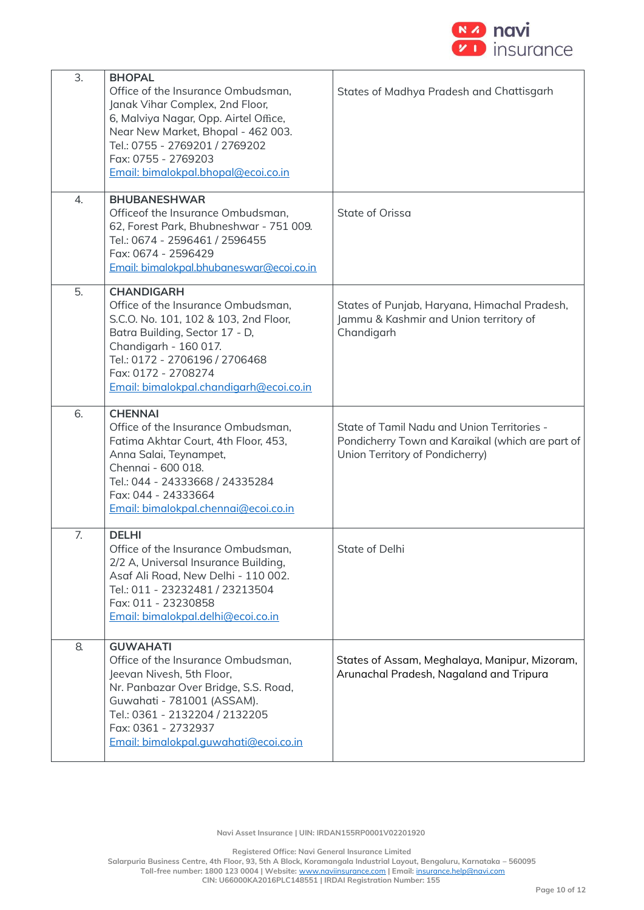

| 3.<br>4.         | <b>BHOPAL</b><br>Office of the Insurance Ombudsman,<br>Janak Vihar Complex, 2nd Floor,<br>6, Malviya Nagar, Opp. Airtel Office,<br>Near New Market, Bhopal - 462 003.<br>Tel.: 0755 - 2769201 / 2769202<br>Fax: 0755 - 2769203<br>Email: bimalokpal.bhopal@ecoi.co.in<br><b>BHUBANESHWAR</b><br>Officeof the Insurance Ombudsman,<br>62, Forest Park, Bhubneshwar - 751 009.<br>Tel.: 0674 - 2596461 / 2596455<br>Fax: 0674 - 2596429 | States of Madhya Pradesh and Chattisgarh<br>State of Orissa                                                                        |
|------------------|---------------------------------------------------------------------------------------------------------------------------------------------------------------------------------------------------------------------------------------------------------------------------------------------------------------------------------------------------------------------------------------------------------------------------------------|------------------------------------------------------------------------------------------------------------------------------------|
|                  | Email: bimalokpal.bhubaneswar@ecoi.co.in                                                                                                                                                                                                                                                                                                                                                                                              |                                                                                                                                    |
| 5.               | <b>CHANDIGARH</b><br>Office of the Insurance Ombudsman,<br>S.C.O. No. 101, 102 & 103, 2nd Floor,<br>Batra Building, Sector 17 - D,<br>Chandigarh - 160 017.<br>Tel.: 0172 - 2706196 / 2706468<br>Fax: 0172 - 2708274<br>Email: bimalokpal.chandigarh@ecoi.co.in                                                                                                                                                                       | States of Punjab, Haryana, Himachal Pradesh,<br>Jammu & Kashmir and Union territory of<br>Chandigarh                               |
| 6.               | <b>CHENNAI</b><br>Office of the Insurance Ombudsman,<br>Fatima Akhtar Court, 4th Floor, 453,<br>Anna Salai, Teynampet,<br>Chennai - 600 018.<br>Tel.: 044 - 24333668 / 24335284<br>Fax: 044 - 24333664<br>Email: bimalokpal.chennai@ecoi.co.in                                                                                                                                                                                        | State of Tamil Nadu and Union Territories -<br>Pondicherry Town and Karaikal (which are part of<br>Union Territory of Pondicherry) |
| $\overline{7}$ . | <b>DELHI</b><br>Office of the Insurance Ombudsman,<br>2/2 A, Universal Insurance Building,<br>Asaf Ali Road, New Delhi - 110 002.<br>Tel.: 011 - 23232481 / 23213504<br>Fax: 011 - 23230858<br>Email: bimalokpal.delhi@ecoi.co.in                                                                                                                                                                                                     | State of Delhi                                                                                                                     |
| 8.               | <b>GUWAHATI</b><br>Office of the Insurance Ombudsman,<br>Jeevan Nivesh, 5th Floor,<br>Nr. Panbazar Over Bridge, S.S. Road,<br>Guwahati - 781001 (ASSAM).<br>Tel.: 0361 - 2132204 / 2132205<br>Fax: 0361 - 2732937<br>Email: bimalokpal.quwahati@ecoi.co.in                                                                                                                                                                            | States of Assam, Meghalaya, Manipur, Mizoram,<br>Arunachal Pradesh, Nagaland and Tripura                                           |

**Registered Office: Navi General Insurance Limited**

**Salarpuria Business Centre, 4th Floor, 93, 5th A Block, Koramangala Industrial Layout, Bengaluru, Karnataka – 560095**

**Toll-free number: 1800 123 0004 | Website:** [www.naviinsurance.com](http://www.naviinsurance.com/) **| Email:** [insurance.help@navi.com](mailto:insurance.help@navi.com)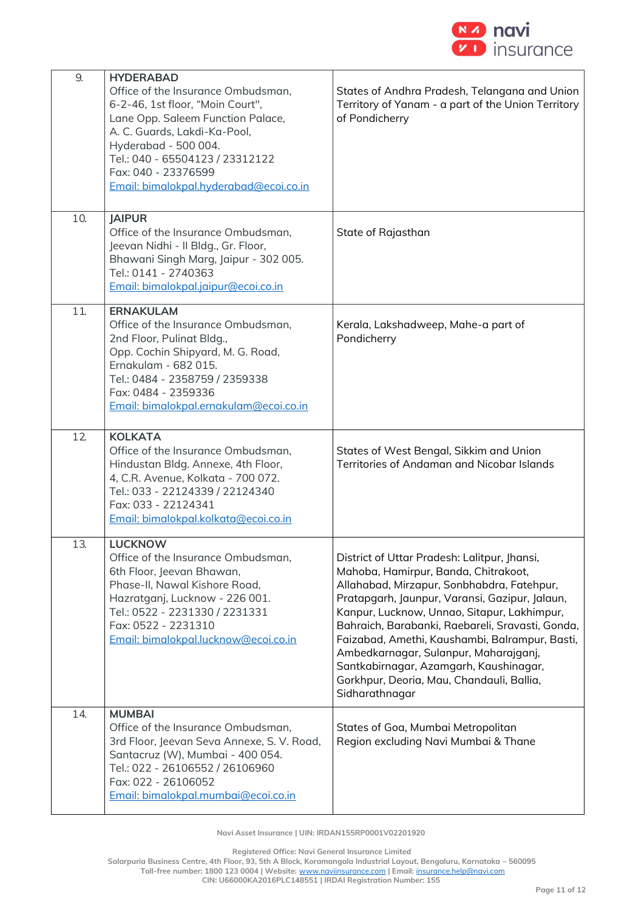

| 9.<br>10. | <b>HYDERABAD</b><br>Office of the Insurance Ombudsman,<br>6-2-46, 1st floor, "Moin Court",<br>Lane Opp. Saleem Function Palace,<br>A. C. Guards, Lakdi-Ka-Pool,<br>Hyderabad - 500 004.<br>Tel.: 040 - 65504123 / 23312122<br>Fax: 040 - 23376599<br>Email: bimalokpal.hyderabad@ecoi.co.in<br><b>JAIPUR</b> | States of Andhra Pradesh, Telangana and Union<br>Territory of Yanam - a part of the Union Territory<br>of Pondicherry                                                                                                                                                                                                                                                                                                                                                                       |
|-----------|--------------------------------------------------------------------------------------------------------------------------------------------------------------------------------------------------------------------------------------------------------------------------------------------------------------|---------------------------------------------------------------------------------------------------------------------------------------------------------------------------------------------------------------------------------------------------------------------------------------------------------------------------------------------------------------------------------------------------------------------------------------------------------------------------------------------|
|           | Office of the Insurance Ombudsman,<br>Jeevan Nidhi - Il Bldg., Gr. Floor,<br>Bhawani Singh Marg, Jaipur - 302 005.<br>Tel.: 0141 - 2740363<br>Email: bimalokpal.jajpur@ecoi.co.in                                                                                                                            | State of Rajasthan                                                                                                                                                                                                                                                                                                                                                                                                                                                                          |
| 11.       | <b>ERNAKULAM</b><br>Office of the Insurance Ombudsman,<br>2nd Floor, Pulinat Bldg.,<br>Opp. Cochin Shipyard, M. G. Road,<br>Ernakulam - 682 015.<br>Tel.: 0484 - 2358759 / 2359338<br>Fax: 0484 - 2359336<br>Email: bimalokpal.ernakulam@ecoi.co.in                                                          | Kerala, Lakshadweep, Mahe-a part of<br>Pondicherry                                                                                                                                                                                                                                                                                                                                                                                                                                          |
| 12        | <b>KOLKATA</b><br>Office of the Insurance Ombudsman,<br>Hindustan Bldg. Annexe, 4th Floor,<br>4, C.R. Avenue, Kolkata - 700 072.<br>Tel.: 033 - 22124339 / 22124340<br>Fax: 033 - 22124341<br>Email: bimalokpal.kolkata@ecoi.co.in                                                                           | States of West Bengal, Sikkim and Union<br>Territories of Andaman and Nicobar Islands                                                                                                                                                                                                                                                                                                                                                                                                       |
| 13.       | <b>LUCKNOW</b><br>Office of the Insurance Ombudsman,<br>6th Floor, Jeevan Bhawan,<br>Phase-II, Nawal Kishore Road,<br>Hazratganj, Lucknow - 226 001.<br>Tel.: 0522 - 2231330 / 2231331<br>Fax: 0522 - 2231310<br>Email: bimalokpal.lucknow@ecoi.co.in                                                        | District of Uttar Pradesh: Lalitpur, Jhansi,<br>Mahoba, Hamirpur, Banda, Chitrakoot,<br>Allahabad, Mirzapur, Sonbhabdra, Fatehpur,<br>Pratapgarh, Jaunpur, Varansi, Gazipur, Jalaun,<br>Kanpur, Lucknow, Unnao, Sitapur, Lakhimpur,<br>Bahraich, Barabanki, Raebareli, Sravasti, Gonda,<br>Faizabad, Amethi, Kaushambi, Balrampur, Basti,<br>Ambedkarnagar, Sulanpur, Maharajganj,<br>Santkabirnagar, Azamgarh, Kaushinagar,<br>Gorkhpur, Deoria, Mau, Chandauli, Ballia,<br>Sidharathnagar |
| 14.       | <b>MUMBAI</b><br>Office of the Insurance Ombudsman,<br>3rd Floor, Jeevan Seva Annexe, S. V. Road,<br>Santacruz (W), Mumbai - 400 054.<br>Tel.: 022 - 26106552 / 26106960<br>Fax: 022 - 26106052<br>Email: bimalokpal.mumbai@ecoi.co.in                                                                       | States of Goa, Mumbai Metropolitan<br>Region excluding Navi Mumbai & Thane                                                                                                                                                                                                                                                                                                                                                                                                                  |

**Navi Asset Insurance | UIN: IRDAN155RP0001V02201920**

**Registered Office: Navi General Insurance Limited**

**Salarpuria Business Centre, 4th Floor, 93, 5th A Block, Koramangala Industrial Layout, Bengaluru, Karnataka – 560095**

**Toll-free number: 1800 123 0004 | Website:** [www.naviinsurance.com](http://www.naviinsurance.com/) **| Email:** [insurance.help@navi.com](mailto:insurance.help@navi.com)